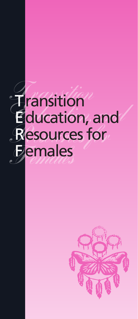

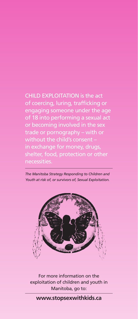CHILD EXPLOITATION is the act of coercing, luring, trafficking or engaging someone under the age of 18 into performing a sexual act or becoming involved in the sex trade or pornography – with or without the child's consent – in exchange for money, drugs, necessities.

*The Manitoba Strategy Responding to Children and Youth at risk of, or survivors of, Sexual Exploitation.*



For more information on the exploitation of children and youth in Manitoba, go to:

## **www.stopsexwithkids.ca**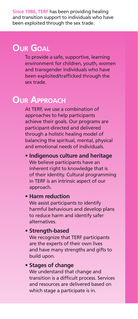**Since 1986, TERF** has been providing healing and transition support to individuals who have been exploited through the sex trade.

# **Our Goal**

To provide a safe, supportive, learning environment for children, youth, women and transgender individuals who have been exploited/trafficked through the sex trade.

# **Our Approach**

At TERF, we use a combination of approaches to help participants achieve their goals. Our programs are participant-directed and delivered through a holistic healing model of balancing the spiritual, mental, physical and emotional needs of individuals.

**• Indigenous culture and heritage** We believe participants have an inherent right to knowledge that is of their identity. Cultural programming in TERF is an intrinsic aspect of our approach.

#### **• Harm reduction**

We assist participants to identify harmful behaviours and develop plans to reduce harm and identify safer alternatives.

#### **• Strength-based**

We recognize that TERF participants are the experts of their own lives and have many strengths and gifts to build upon.

## **• Stages of change**

We understand that change and transition is a difficult process. Services and resources are delivered based on which stage a participate is in.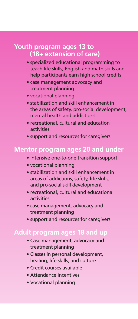## **Youth program ages 13 to (18+ extension of care)**

- specialized educational programming to teach life skills, English and math skills and help participants earn high school credits
- case management advocacy and treatment planning
- vocational planning
- stabilization and skill enhancement in the areas of safety, pro-social development, mental health and addictions
- recreational, cultural and education activities
- support and resources for caregivers

## **Mentor program ages 20 and under**

- intensive one-to-one transition support
- vocational planning
- stabilization and skill enhancement in areas of addictions, safety, life skills, and pro-social skill development
- recreational, cultural and educational activities
- case management, advocacy and treatment planning
- support and resources for caregivers

## **Adult program ages 18 and up**

- Case management, advocacy and treatment planning
- Classes in personal development, healing, life skills, and culture
- Credit courses available
- Attendance incentives
- Vocational planning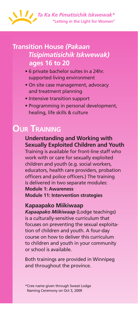

# **Transition House** *(Pakaan Tisipimatisichik Iskwewak)* **ages 16 to 20**

- 6 private bachelor suites in a 24hr. supported living environment
- On site case management, advocacy and treatment planning
- Intensive transition support
- Programming in personal development, healing, life skills & culture

# **Our Training**

**Understanding and Working with Sexually Exploited Children and Youth** Training is available for front-line staff who work with or care for sexually exploited children and youth (e.g. social workers, educators, health care providers, probation officers and police officers.) The training is delivered in two separate modules: **Module 1: Awareness Module 11: Intervention strategies**

#### **Kapaapako Miikiwaap**

*Kapaapako Miikiwaap* (Lodge teachings) is a culturally-sensitive curriculum that focuses on preventing the sexual exploitation of children and youth. A four-day course on how to deliver this curriculum to children and youth in your community or school is available.

Both trainings are provided in Winnipeg and throughout the province.

\*Cree name given through Sweat Lodge Naming Ceremony on Oct 3, 2009